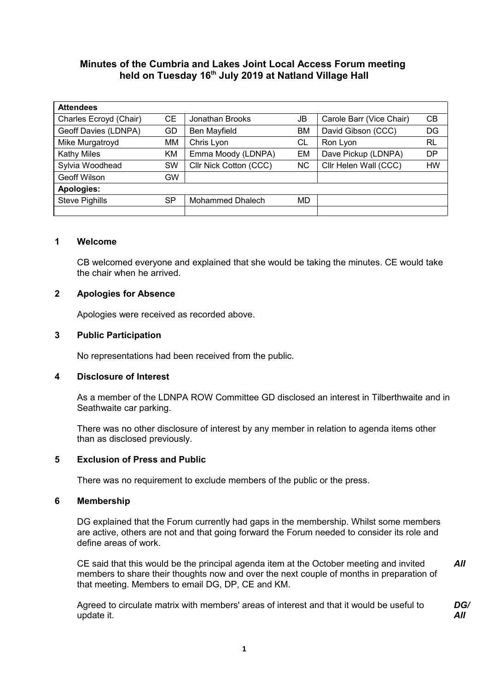# **Minutes of the Cumbria and Lakes Joint Local Access Forum meeting held on Tuesday 16th July 2019 at Natland Village Hall**

| <b>Attendees</b>       |           |                        |           |                          |           |  |  |
|------------------------|-----------|------------------------|-----------|--------------------------|-----------|--|--|
| Charles Ecroyd (Chair) | CЕ        | Jonathan Brooks        | JB        | Carole Barr (Vice Chair) | CВ        |  |  |
| Geoff Davies (LDNPA)   | GD        | Ben Mayfield           | <b>BM</b> | David Gibson (CCC)       | DG        |  |  |
| Mike Murgatroyd        | MM        | Chris Lyon             | СL        | Ron Lyon                 | <b>RL</b> |  |  |
| <b>Kathy Miles</b>     | ΚM        | Emma Moody (LDNPA)     | EM        | Dave Pickup (LDNPA)      | <b>DP</b> |  |  |
| Sylvia Woodhead        | <b>SW</b> | Cllr Nick Cotton (CCC) | NC.       | Cllr Helen Wall (CCC)    | <b>HW</b> |  |  |
| Geoff Wilson           | GW        |                        |           |                          |           |  |  |
| Apologies:             |           |                        |           |                          |           |  |  |
| <b>Steve Pighills</b>  | SP.       | Mohammed Dhalech       | MD        |                          |           |  |  |
|                        |           |                        |           |                          |           |  |  |

#### **1 Welcome**

CB welcomed everyone and explained that she would be taking the minutes. CE would take the chair when he arrived.

### **2 Apologies for Absence**

Apologies were received as recorded above.

### **3 Public Participation**

No representations had been received from the public.

### **4 Disclosure of Interest**

As a member of the LDNPA ROW Committee GD disclosed an interest in Tilberthwaite and in Seathwaite car parking.

There was no other disclosure of interest by any member in relation to agenda items other than as disclosed previously.

### **5 Exclusion of Press and Public**

There was no requirement to exclude members of the public or the press.

#### **6 Membership**

DG explained that the Forum currently had gaps in the membership. Whilst some members are active, others are not and that going forward the Forum needed to consider its role and define areas of work.

CE said that this would be the principal agenda item at the October meeting and invited members to share their thoughts now and over the next couple of months in preparation of that meeting. Members to email DG, DP, CE and KM. *All*

Agreed to circulate matrix with members' areas of interest and that it would be useful to update it.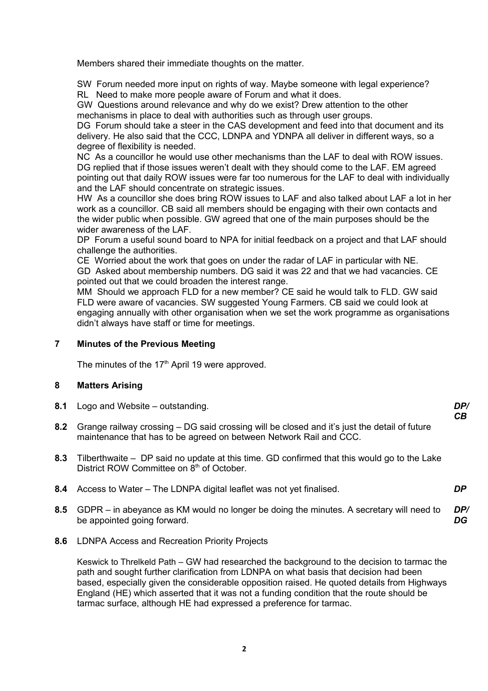Members shared their immediate thoughts on the matter.

SW Forum needed more input on rights of way. Maybe someone with legal experience?

RL Need to make more people aware of Forum and what it does.

GW Questions around relevance and why do we exist? Drew attention to the other mechanisms in place to deal with authorities such as through user groups.

DG Forum should take a steer in the CAS development and feed into that document and its delivery. He also said that the CCC, LDNPA and YDNPA all deliver in different ways, so a degree of flexibility is needed.

NC As a councillor he would use other mechanisms than the LAF to deal with ROW issues. DG replied that if those issues weren't dealt with they should come to the LAF. EM agreed pointing out that daily ROW issues were far too numerous for the LAF to deal with individually and the LAF should concentrate on strategic issues.

HW As a councillor she does bring ROW issues to LAF and also talked about LAF a lot in her work as a councillor. CB said all members should be engaging with their own contacts and the wider public when possible. GW agreed that one of the main purposes should be the wider awareness of the LAF.

DP Forum a useful sound board to NPA for initial feedback on a project and that LAF should challenge the authorities.

CE Worried about the work that goes on under the radar of LAF in particular with NE. GD Asked about membership numbers. DG said it was 22 and that we had vacancies. CE pointed out that we could broaden the interest range.

MM Should we approach FLD for a new member? CE said he would talk to FLD. GW said FLD were aware of vacancies. SW suggested Young Farmers. CB said we could look at engaging annually with other organisation when we set the work programme as organisations didn't always have staff or time for meetings.

## **7 Minutes of the Previous Meeting**

The minutes of the  $17<sup>th</sup>$  April 19 were approved.

## **8 Matters Arising**

- **8.1** Logo and Website outstanding. *DP/*
- **8.2** Grange railway crossing DG said crossing will be closed and it's just the detail of future maintenance that has to be agreed on between Network Rail and CCC.

*CB*

- **8.3** Tilberthwaite DP said no update at this time. GD confirmed that this would go to the Lake District ROW Committee on 8<sup>th</sup> of October.
- **8.4** Access to Water The LDNPA digital leaflet was not yet finalised. *DP*
- **8.5** GDPR in abeyance as KM would no longer be doing the minutes. A secretary will need to be appointed going forward. *DP/ DG*
- **8.6** LDNPA Access and Recreation Priority Projects

Keswick to Threlkeld Path – GW had researched the background to the decision to tarmac the path and sought further clarification from LDNPA on what basis that decision had been based, especially given the considerable opposition raised. He quoted details from Highways England (HE) which asserted that it was not a funding condition that the route should be tarmac surface, although HE had expressed a preference for tarmac.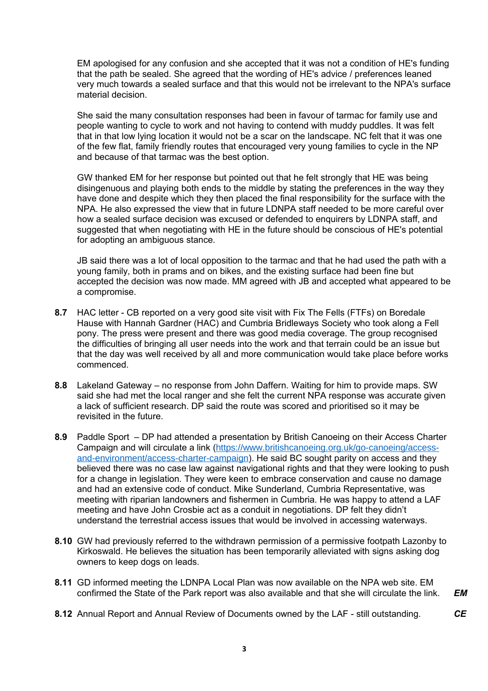EM apologised for any confusion and she accepted that it was not a condition of HE's funding that the path be sealed. She agreed that the wording of HE's advice / preferences leaned very much towards a sealed surface and that this would not be irrelevant to the NPA's surface material decision.

She said the many consultation responses had been in favour of tarmac for family use and people wanting to cycle to work and not having to contend with muddy puddles. It was felt that in that low lying location it would not be a scar on the landscape. NC felt that it was one of the few flat, family friendly routes that encouraged very young families to cycle in the NP and because of that tarmac was the best option.

GW thanked EM for her response but pointed out that he felt strongly that HE was being disingenuous and playing both ends to the middle by stating the preferences in the way they have done and despite which they then placed the final responsibility for the surface with the NPA. He also expressed the view that in future LDNPA staff needed to be more careful over how a sealed surface decision was excused or defended to enquirers by LDNPA staff, and suggested that when negotiating with HE in the future should be conscious of HE's potential for adopting an ambiguous stance*.*

JB said there was a lot of local opposition to the tarmac and that he had used the path with a young family, both in prams and on bikes, and the existing surface had been fine but accepted the decision was now made. MM agreed with JB and accepted what appeared to be a compromise.

- **8.7** HAC letter CB reported on a very good site visit with Fix The Fells (FTFs) on Boredale Hause with Hannah Gardner (HAC) and Cumbria Bridleways Society who took along a Fell pony. The press were present and there was good media coverage. The group recognised the difficulties of bringing all user needs into the work and that terrain could be an issue but that the day was well received by all and more communication would take place before works commenced.
- **8.8** Lakeland Gateway no response from John Daffern. Waiting for him to provide maps. SW said she had met the local ranger and she felt the current NPA response was accurate given a lack of sufficient research. DP said the route was scored and prioritised so it may be revisited in the future.
- **8.9** Paddle Sport DP had attended a presentation by British Canoeing on their Access Charter Campaign and will circulate a link ([https://www.britishcanoeing.org.uk/go-canoeing/access](https://www.britishcanoeing.org.uk/go-canoeing/access-and-environment/access-charter-campaign)[and-environment/access-charter-campaign](https://www.britishcanoeing.org.uk/go-canoeing/access-and-environment/access-charter-campaign)). He said BC sought parity on access and they believed there was no case law against navigational rights and that they were looking to push for a change in legislation. They were keen to embrace conservation and cause no damage and had an extensive code of conduct. Mike Sunderland, Cumbria Representative, was meeting with riparian landowners and fishermen in Cumbria. He was happy to attend a LAF meeting and have John Crosbie act as a conduit in negotiations. DP felt they didn't understand the terrestrial access issues that would be involved in accessing waterways.
- **8.10** GW had previously referred to the withdrawn permission of a permissive footpath Lazonby to Kirkoswald. He believes the situation has been temporarily alleviated with signs asking dog owners to keep dogs on leads.
- **8.11** GD informed meeting the LDNPA Local Plan was now available on the NPA web site. EM confirmed the State of the Park report was also available and that she will circulate the link. *EM*
- **8.12** Annual Report and Annual Review of Documents owned by the LAF still outstanding. *CE*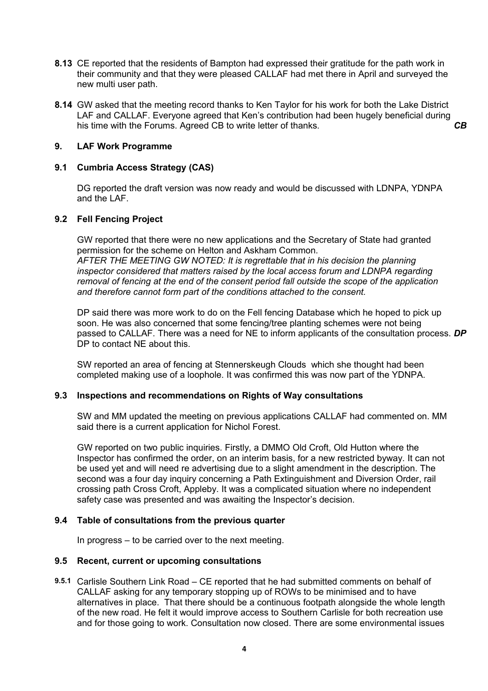- **8.13** CE reported that the residents of Bampton had expressed their gratitude for the path work in their community and that they were pleased CALLAF had met there in April and surveyed the new multi user path.
- **8.14** GW asked that the meeting record thanks to Ken Taylor for his work for both the Lake District LAF and CALLAF. Everyone agreed that Ken's contribution had been hugely beneficial during his time with the Forums. Agreed CB to write letter of thanks. *CB*

## **9. LAF Work Programme**

### **9.1 Cumbria Access Strategy (CAS)**

DG reported the draft version was now ready and would be discussed with LDNPA, YDNPA and the LAF.

## **9.2 Fell Fencing Project**

GW reported that there were no new applications and the Secretary of State had granted permission for the scheme on Helton and Askham Common.

*AFTER THE MEETING GW NOTED: It is regrettable that in his decision the planning inspector considered that matters raised by the local access forum and LDNPA regarding removal of fencing at the end of the consent period fall outside the scope of the application and therefore cannot form part of the conditions attached to the consent.*

DP said there was more work to do on the Fell fencing Database which he hoped to pick up soon. He was also concerned that some fencing/tree planting schemes were not being passed to CALLAF. There was a need for NE to inform applicants of the consultation process. *DP* DP to contact NF about this.

SW reported an area of fencing at Stennerskeugh Clouds which she thought had been completed making use of a loophole. It was confirmed this was now part of the YDNPA.

#### **9.3 Inspections and recommendations on Rights of Way consultations**

SW and MM updated the meeting on previous applications CALLAF had commented on. MM said there is a current application for Nichol Forest.

GW reported on two public inquiries. Firstly, a DMMO Old Croft, Old Hutton where the Inspector has confirmed the order, on an interim basis, for a new restricted byway. It can not be used yet and will need re advertising due to a slight amendment in the description. The second was a four day inquiry concerning a Path Extinguishment and Diversion Order, rail crossing path Cross Croft, Appleby. It was a complicated situation where no independent safety case was presented and was awaiting the Inspector's decision.

#### **9.4 Table of consultations from the previous quarter**

In progress – to be carried over to the next meeting.

#### **9.5 Recent, current or upcoming consultations**

**9.5.1** Carlisle Southern Link Road – CE reported that he had submitted comments on behalf of CALLAF asking for any temporary stopping up of ROWs to be minimised and to have alternatives in place. That there should be a continuous footpath alongside the whole length of the new road. He felt it would improve access to Southern Carlisle for both recreation use and for those going to work. Consultation now closed. There are some environmental issues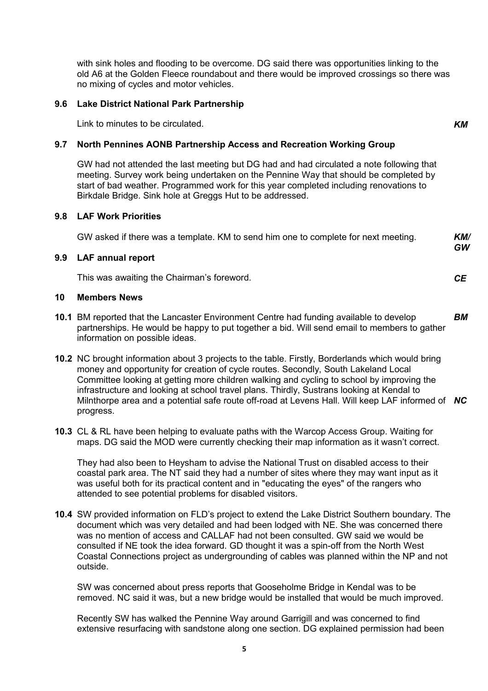with sink holes and flooding to be overcome. DG said there was opportunities linking to the old A6 at the Golden Fleece roundabout and there would be improved crossings so there was no mixing of cycles and motor vehicles.

### **9.6 Lake District National Park Partnership**

Link to minutes to be circulated. *KM*

## **9.7 North Pennines AONB Partnership Access and Recreation Working Group**

GW had not attended the last meeting but DG had and had circulated a note following that meeting. Survey work being undertaken on the Pennine Way that should be completed by start of bad weather. Programmed work for this year completed including renovations to Birkdale Bridge. Sink hole at Greggs Hut to be addressed.

#### **9.8 LAF Work Priorities**

| GW asked if there was a template. KM to send him one to complete for next meeting. | KM/       |
|------------------------------------------------------------------------------------|-----------|
|                                                                                    | <b>GW</b> |
| <b>LAE</b> annual ronort                                                           |           |

### **9.9 LAF annual report**

This was awaiting the Chairman's foreword. *CE*

#### **10 Members News**

- **10.1** BM reported that the Lancaster Environment Centre had funding available to develop partnerships. He would be happy to put together a bid. Will send email to members to gather information on possible ideas. *BM*
- **10.2** NC brought information about 3 projects to the table. Firstly, Borderlands which would bring money and opportunity for creation of cycle routes. Secondly, South Lakeland Local Committee looking at getting more children walking and cycling to school by improving the infrastructure and looking at school travel plans. Thirdly, Sustrans looking at Kendal to Milnthorpe area and a potential safe route off-road at Levens Hall. Will keep LAF informed of *NC* progress.
- **10.3** CL & RL have been helping to evaluate paths with the Warcop Access Group. Waiting for maps. DG said the MOD were currently checking their map information as it wasn't correct.

They had also been to Heysham to advise the National Trust on disabled access to their coastal park area. The NT said they had a number of sites where they may want input as it was useful both for its practical content and in "educating the eyes" of the rangers who attended to see potential problems for disabled visitors.

**10.4** SW provided information on FLD's project to extend the Lake District Southern boundary. The document which was very detailed and had been lodged with NE. She was concerned there was no mention of access and CALLAF had not been consulted. GW said we would be consulted if NE took the idea forward. GD thought it was a spin-off from the North West Coastal Connections project as undergrounding of cables was planned within the NP and not outside.

SW was concerned about press reports that Gooseholme Bridge in Kendal was to be removed. NC said it was, but a new bridge would be installed that would be much improved.

Recently SW has walked the Pennine Way around Garrigill and was concerned to find extensive resurfacing with sandstone along one section. DG explained permission had been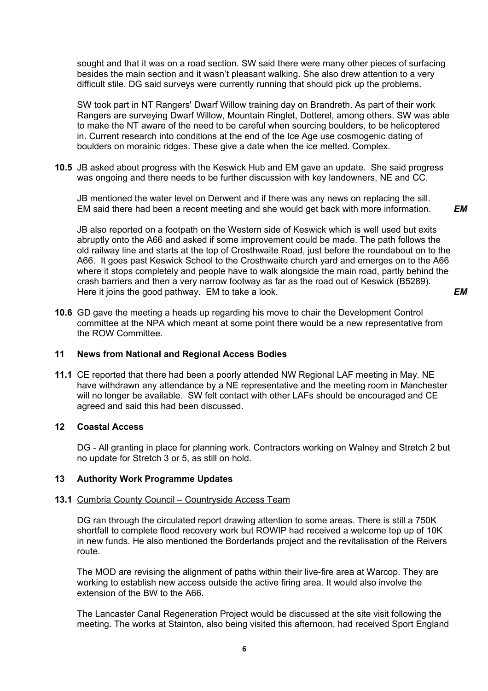sought and that it was on a road section. SW said there were many other pieces of surfacing besides the main section and it wasn't pleasant walking. She also drew attention to a very difficult stile. DG said surveys were currently running that should pick up the problems.

SW took part in NT Rangers' Dwarf Willow training day on Brandreth. As part of their work Rangers are surveying Dwarf Willow, Mountain Ringlet, Dotterel, among others. SW was able to make the NT aware of the need to be careful when sourcing boulders, to be helicoptered in. Current research into conditions at the end of the Ice Age use cosmogenic dating of boulders on morainic ridges. These give a date when the ice melted. Complex.

**10.5** JB asked about progress with the Keswick Hub and EM gave an update. She said progress was ongoing and there needs to be further discussion with key landowners, NE and CC.

JB mentioned the water level on Derwent and if there was any news on replacing the sill. EM said there had been a recent meeting and she would get back with more information.

*EM*

*EM*

JB also reported on a footpath on the Western side of Keswick which is well used but exits abruptly onto the A66 and asked if some improvement could be made. The path follows the old railway line and starts at the top of Crosthwaite Road, just before the roundabout on to the A66. It goes past Keswick School to the Crosthwaite church yard and emerges on to the A66 where it stops completely and people have to walk alongside the main road, partly behind the crash barriers and then a very narrow footway as far as the road out of Keswick (B5289). Here it joins the good pathway. EM to take a look.

**10.6** GD gave the meeting a heads up regarding his move to chair the Development Control committee at the NPA which meant at some point there would be a new representative from the ROW Committee.

#### **11 News from National and Regional Access Bodies**

**11.1** CE reported that there had been a poorly attended NW Regional LAF meeting in May. NE have withdrawn any attendance by a NE representative and the meeting room in Manchester will no longer be available. SW felt contact with other LAFs should be encouraged and CE agreed and said this had been discussed.

## **12 Coastal Access**

DG - All granting in place for planning work. Contractors working on Walney and Stretch 2 but no update for Stretch 3 or 5, as still on hold.

## **13 Authority Work Programme Updates**

#### **13.1** Cumbria County Council – Countryside Access Team

DG ran through the circulated report drawing attention to some areas. There is still a 750K shortfall to complete flood recovery work but ROWIP had received a welcome top up of 10K in new funds. He also mentioned the Borderlands project and the revitalisation of the Reivers route.

The MOD are revising the alignment of paths within their live-fire area at Warcop. They are working to establish new access outside the active firing area. It would also involve the extension of the BW to the A66.

The Lancaster Canal Regeneration Project would be discussed at the site visit following the meeting. The works at Stainton, also being visited this afternoon, had received Sport England